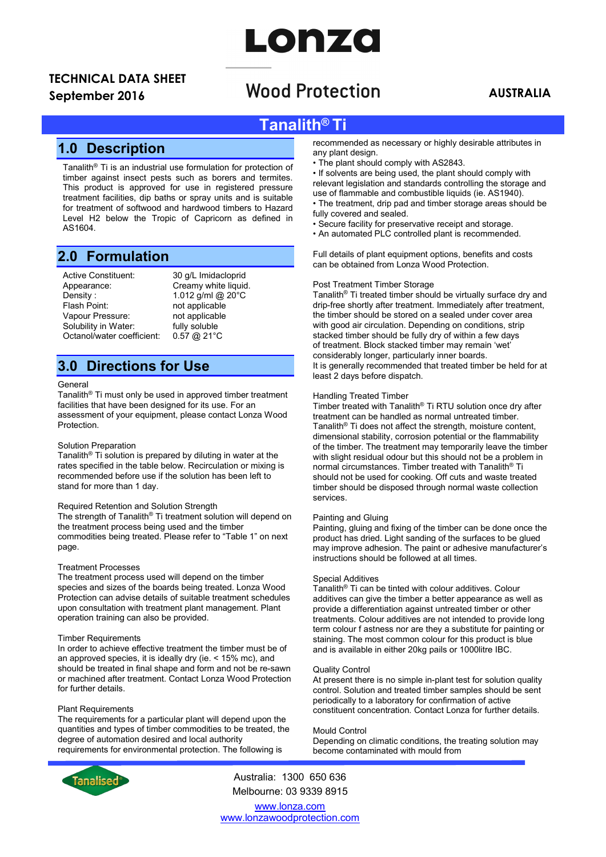# LONZO

# TECHNICAL DATA SHEET

## September 2016 **AUSTRALIA**<br>September 2016 **AUSTRALIA**

## Tanalith® Ti

## 1.0 Description

Tanalith® Ti is an industrial use formulation for protection of timber against insect pests such as borers and termites. This product is approved for use in registered pressure treatment facilities, dip baths or spray units and is suitable for treatment of softwood and hardwood timbers to Hazard Level H2 below the Tropic of Capricorn as defined in AS1604.

## 2.0 Formulation

Active Constituent: 30 g/L Imidacloprid<br>Appearance: Creamy white liquid Density : 1.012 g/ml @ 20°C<br>Flash Point: 1.012 g/ml @ 20°C Vapour Pressure: Solubility in Water: fully soluble Octanol/water coefficient: 0.57 @ 21°C

Creamy white liquid. not applicable<br>not applicable

## 3.0 Directions for Use

### General

Tanalith® Ti must only be used in approved timber treatment facilities that have been designed for its use. For an assessment of your equipment, please contact Lonza Wood Protection.

### Solution Preparation

Tanalith® Ti solution is prepared by diluting in water at the rates specified in the table below. Recirculation or mixing is recommended before use if the solution has been left to stand for more than 1 day.

### Required Retention and Solution Strength

The strength of Tanalith® Ti treatment solution will depend on the treatment process being used and the timber commodities being treated. Please refer to "Table 1" on next page.

### Treatment Processes

The treatment process used will depend on the timber species and sizes of the boards being treated. Lonza Wood Protection can advise details of suitable treatment schedules upon consultation with treatment plant management. Plant operation training can also be provided.

### Timber Requirements

In order to achieve effective treatment the timber must be of an approved species, it is ideally dry (ie. < 15% mc), and should be treated in final shape and form and not be re-sawn or machined after treatment. Contact Lonza Wood Protection for further details.

### Plant Requirements

The requirements for a particular plant will depend upon the quantities and types of timber commodities to be treated, the degree of automation desired and local authority requirements for environmental protection. The following is



Australia: 1300 650 636 Melbourne: 03 9339 8915

www.lonza.com www.lonzawoodprotection.com

recommended as necessary or highly desirable attributes in any plant design.

• The plant should comply with AS2843.

• If solvents are being used, the plant should comply with relevant legislation and standards controlling the storage and use of flammable and combustible liquids (ie. AS1940).

• The treatment, drip pad and timber storage areas should be fully covered and sealed.

- Secure facility for preservative receipt and storage.
- An automated PLC controlled plant is recommended.

Full details of plant equipment options, benefits and costs can be obtained from Lonza Wood Protection.

### Post Treatment Timber Storage

Tanalith® Ti treated timber should be virtually surface dry and drip-free shortly after treatment. Immediately after treatment, the timber should be stored on a sealed under cover area with good air circulation. Depending on conditions, strip stacked timber should be fully dry of within a few days of treatment. Block stacked timber may remain 'wet' considerably longer, particularly inner boards. It is generally recommended that treated timber be held for at least 2 days before dispatch.

### Handling Treated Timber

Timber treated with Tanalith® Ti RTU solution once dry after treatment can be handled as normal untreated timber. Tanalith® Ti does not affect the strength, moisture content, dimensional stability, corrosion potential or the flammability of the timber. The treatment may temporarily leave the timber with slight residual odour but this should not be a problem in normal circumstances. Timber treated with Tanalith® Ti should not be used for cooking. Off cuts and waste treated timber should be disposed through normal waste collection services.

#### Painting and Gluing

Painting, gluing and fixing of the timber can be done once the product has dried. Light sanding of the surfaces to be glued may improve adhesion. The paint or adhesive manufacturer's instructions should be followed at all times.

### Special Additives

Tanalith® Ti can be tinted with colour additives. Colour additives can give the timber a better appearance as well as provide a differentiation against untreated timber or other treatments. Colour additives are not intended to provide long term colour f astness nor are they a substitute for painting or staining. The most common colour for this product is blue and is available in either 20kg pails or 1000litre IBC.

#### Quality Control

At present there is no simple in-plant test for solution quality control. Solution and treated timber samples should be sent periodically to a laboratory for confirmation of active constituent concentration. Contact Lonza for further details.

#### Mould Control

Depending on climatic conditions, the treating solution may become contaminated with mould from